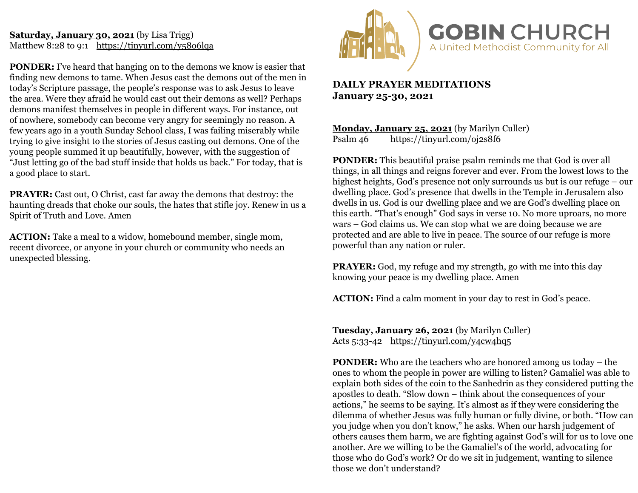#### **Saturday, January 30, 2021** (by Lisa Trigg) Matthew 8:28 to 9:1 <https://tinyurl.com/y58o6lqa>

**PONDER:** I've heard that hanging on to the demons we know is easier that finding new demons to tame. When Jesus cast the demons out of the men in today's Scripture passage, the people's response was to ask Jesus to leave the area. Were they afraid he would cast out their demons as well? Perhaps demons manifest themselves in people in different ways. For instance, out of nowhere, somebody can become very angry for seemingly no reason. A few years ago in a youth Sunday School class, I was failing miserably while trying to give insight to the stories of Jesus casting out demons. One of the young people summed it up beautifully, however, with the suggestion of "Just letting go of the bad stuff inside that holds us back." For today, that is a good place to start.

**PRAYER:** Cast out, O Christ, cast far away the demons that destroy: the haunting dreads that choke our souls, the hates that stifle joy. Renew in us a Spirit of Truth and Love. Amen

**ACTION:** Take a meal to a widow, homebound member, single mom, recent divorcee, or anyone in your church or community who needs an unexpected blessing.



# **DAILY PRAYER MEDITATIONS January 25-30, 2021**

**Monday, January 25, 2021** (by Marilyn Culler) Psalm 46 <https://tinyurl.com/oj2s8f6>

**PONDER:** This beautiful praise psalm reminds me that God is over all things, in all things and reigns forever and ever. From the lowest lows to the highest heights, God's presence not only surrounds us but is our refuge – our dwelling place. God's presence that dwells in the Temple in Jerusalem also dwells in us. God is our dwelling place and we are God's dwelling place on this earth. "That's enough" God says in verse 10. No more uproars, no more wars – God claims us. We can stop what we are doing because we are protected and are able to live in peace. The source of our refuge is more powerful than any nation or ruler.

**PRAYER:** God, my refuge and my strength, go with me into this day knowing your peace is my dwelling place. Amen

**ACTION:** Find a calm moment in your day to rest in God's peace.

**Tuesday, January 26, 2021** (by Marilyn Culler) Acts 5:33-42 <https://tinyurl.com/y4cw4hq5>

**PONDER:** Who are the teachers who are honored among us today – the ones to whom the people in power are willing to listen? Gamaliel was able to explain both sides of the coin to the Sanhedrin as they considered putting the apostles to death. "Slow down – think about the consequences of your actions," he seems to be saying. It's almost as if they were considering the dilemma of whether Jesus was fully human or fully divine, or both. "How can you judge when you don't know," he asks. When our harsh judgement of others causes them harm, we are fighting against God's will for us to love one another. Are we willing to be the Gamaliel's of the world, advocating for those who do God's work? Or do we sit in judgement, wanting to silence those we don't understand?